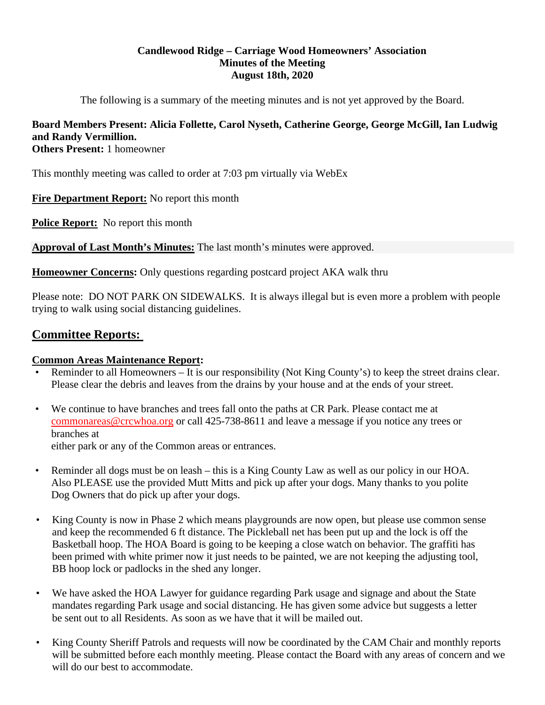# **Candlewood Ridge – Carriage Wood Homeowners' Association Minutes of the Meeting August 18th, 2020**

The following is a summary of the meeting minutes and is not yet approved by the Board.

# **Board Members Present: Alicia Follette, Carol Nyseth, Catherine George, George McGill, Ian Ludwig and Randy Vermillion.**

**Others Present:** 1 homeowner

This monthly meeting was called to order at 7:03 pm virtually via WebEx

**Fire Department Report:** No report this month

**Police Report:** No report this month

**Approval of Last Month's Minutes:** The last month's minutes were approved.

**Homeowner Concerns:** Only questions regarding postcard project AKA walk thru

Please note: DO NOT PARK ON SIDEWALKS. It is always illegal but is even more a problem with people trying to walk using social distancing guidelines.

# **Committee Reports:**

# **Common Areas Maintenance Report:**

- Reminder to all Homeowners It is our responsibility (Not King County's) to keep the street drains clear. Please clear the debris and leaves from the drains by your house and at the ends of your street.
- We continue to have branches and trees fall onto the paths at CR Park. Please contact me at commonareas@crcwhoa.org or call 425-738-8611 and leave a message if you notice any trees or branches at

either park or any of the Common areas or entrances.

- Reminder all dogs must be on leash this is a King County Law as well as our policy in our HOA. Also PLEASE use the provided Mutt Mitts and pick up after your dogs. Many thanks to you polite Dog Owners that do pick up after your dogs.
- King County is now in Phase 2 which means playgrounds are now open, but please use common sense and keep the recommended 6 ft distance. The Pickleball net has been put up and the lock is off the Basketball hoop. The HOA Board is going to be keeping a close watch on behavior. The graffiti has been primed with white primer now it just needs to be painted, we are not keeping the adjusting tool, BB hoop lock or padlocks in the shed any longer.
- We have asked the HOA Lawyer for guidance regarding Park usage and signage and about the State mandates regarding Park usage and social distancing. He has given some advice but suggests a letter be sent out to all Residents. As soon as we have that it will be mailed out.
- King County Sheriff Patrols and requests will now be coordinated by the CAM Chair and monthly reports will be submitted before each monthly meeting. Please contact the Board with any areas of concern and we will do our best to accommodate.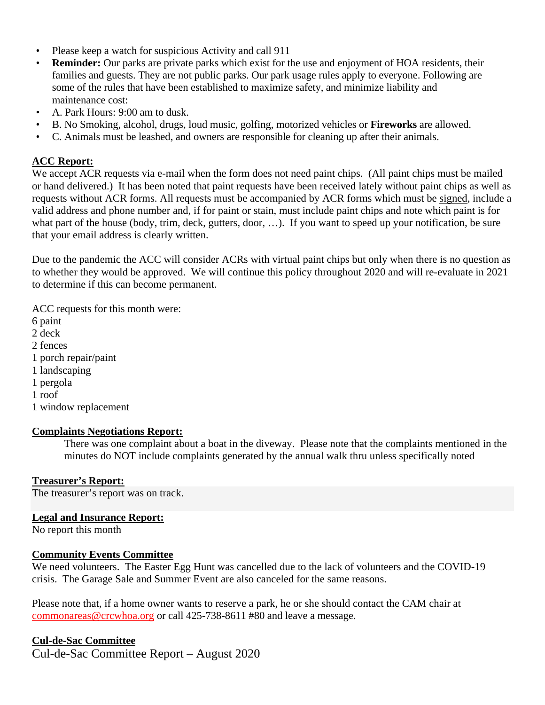- Please keep a watch for suspicious Activity and call 911
- **Reminder:** Our parks are private parks which exist for the use and enjoyment of HOA residents, their families and guests. They are not public parks. Our park usage rules apply to everyone. Following are some of the rules that have been established to maximize safety, and minimize liability and maintenance cost:
- A. Park Hours: 9:00 am to dusk.
- B. No Smoking, alcohol, drugs, loud music, golfing, motorized vehicles or **Fireworks** are allowed.
- C. Animals must be leashed, and owners are responsible for cleaning up after their animals.

## **ACC Report:**

We accept ACR requests via e-mail when the form does not need paint chips. (All paint chips must be mailed or hand delivered.) It has been noted that paint requests have been received lately without paint chips as well as requests without ACR forms. All requests must be accompanied by ACR forms which must be signed, include a valid address and phone number and, if for paint or stain, must include paint chips and note which paint is for what part of the house (body, trim, deck, gutters, door, ...). If you want to speed up your notification, be sure that your email address is clearly written.

Due to the pandemic the ACC will consider ACRs with virtual paint chips but only when there is no question as to whether they would be approved. We will continue this policy throughout 2020 and will re-evaluate in 2021 to determine if this can become permanent.

ACC requests for this month were: 6 paint 2 deck 2 fences 1 porch repair/paint 1 landscaping 1 pergola 1 roof 1 window replacement

#### **Complaints Negotiations Report:**

There was one complaint about a boat in the diveway. Please note that the complaints mentioned in the minutes do NOT include complaints generated by the annual walk thru unless specifically noted

# **Treasurer's Report:**

The treasurer's report was on track.

#### **Legal and Insurance Report:**

No report this month

#### **Community Events Committee**

We need volunteers. The Easter Egg Hunt was cancelled due to the lack of volunteers and the COVID-19 crisis. The Garage Sale and Summer Event are also canceled for the same reasons.

Please note that, if a home owner wants to reserve a park, he or she should contact the CAM chair at commonareas@crcwhoa.org or call 425-738-8611 #80 and leave a message.

#### **Cul-de-Sac Committee**

Cul-de-Sac Committee Report – August 2020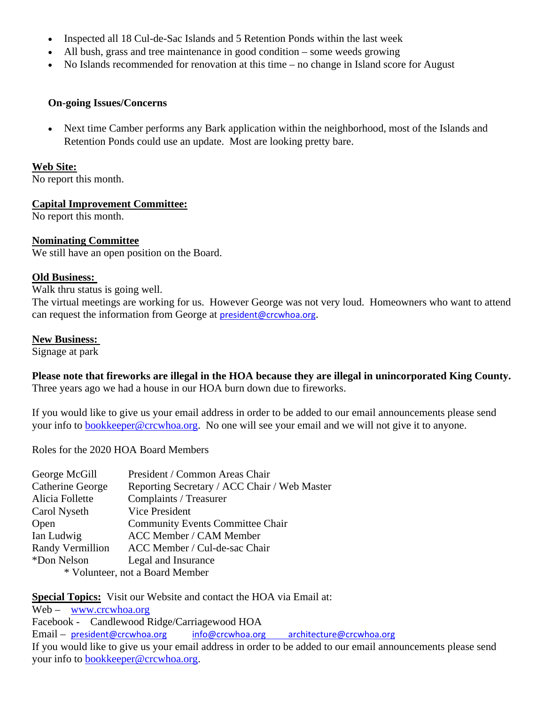- Inspected all 18 Cul-de-Sac Islands and 5 Retention Ponds within the last week
- All bush, grass and tree maintenance in good condition some weeds growing
- No Islands recommended for renovation at this time no change in Island score for August

## **On-going Issues/Concerns**

 Next time Camber performs any Bark application within the neighborhood, most of the Islands and Retention Ponds could use an update. Most are looking pretty bare.

#### **Web Site:**

No report this month.

# **Capital Improvement Committee:**

No report this month.

## **Nominating Committee**

We still have an open position on the Board.

## **Old Business:**

Walk thru status is going well.

The virtual meetings are working for us. However George was not very loud. Homeowners who want to attend can request the information from George at president@crcwhoa.org.

#### **New Business:**

Signage at park

**Please note that fireworks are illegal in the HOA because they are illegal in unincorporated King County.**  Three years ago we had a house in our HOA burn down due to fireworks.

If you would like to give us your email address in order to be added to our email announcements please send your info to **bookkeeper@crcwhoa.org**. No one will see your email and we will not give it to anyone.

Roles for the 2020 HOA Board Members

| George McGill                   | President / Common Areas Chair               |
|---------------------------------|----------------------------------------------|
| <b>Catherine George</b>         | Reporting Secretary / ACC Chair / Web Master |
| Alicia Follette                 | Complaints / Treasurer                       |
| Carol Nyseth                    | Vice President                               |
| Open                            | <b>Community Events Committee Chair</b>      |
| Ian Ludwig                      | ACC Member / CAM Member                      |
| Randy Vermillion                | ACC Member / Cul-de-sac Chair                |
| *Don Nelson                     | Legal and Insurance                          |
| * Volunteer, not a Board Member |                                              |

**Special Topics:** Visit our Website and contact the HOA via Email at:

Web – www.crcwhoa.org Facebook - Candlewood Ridge/Carriagewood HOA Email – president@crcwhoa.org info@crcwhoa.org architecture@crcwhoa.org If you would like to give us your email address in order to be added to our email announcements please send your info to bookkeeper@crcwhoa.org.